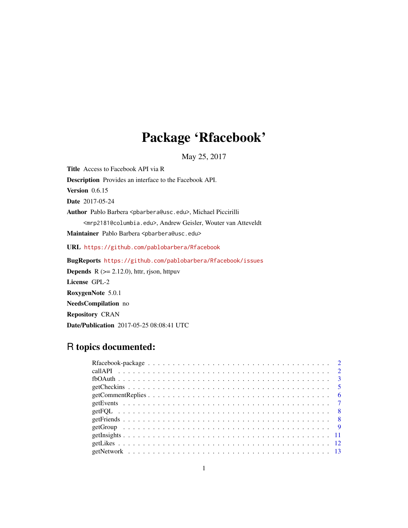# Package 'Rfacebook'

May 25, 2017

Title Access to Facebook API via R

Description Provides an interface to the Facebook API.

Version 0.6.15

Date 2017-05-24

Author Pablo Barbera <pbarbera@usc.edu>, Michael Piccirilli

<mrp2181@columbia.edu>, Andrew Geisler, Wouter van Atteveldt

Maintainer Pablo Barbera <pbarbera@usc.edu>

URL <https://github.com/pablobarbera/Rfacebook>

BugReports <https://github.com/pablobarbera/Rfacebook/issues> **Depends** R  $(>= 2.12.0)$ , httr, rjson, httpuv License GPL-2 RoxygenNote 5.0.1 NeedsCompilation no Repository CRAN Date/Publication 2017-05-25 08:08:41 UTC

# R topics documented: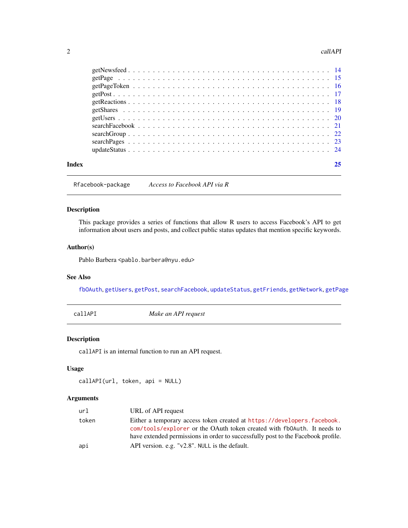#### <span id="page-1-0"></span>2 callAPI

| Index | 25 |
|-------|----|
|       |    |
|       |    |
|       |    |
|       |    |
|       |    |
|       |    |
|       |    |
|       |    |
|       |    |
|       |    |
|       |    |

Rfacebook-package *Access to Facebook API via R*

# Description

This package provides a series of functions that allow R users to access Facebook's API to get information about users and posts, and collect public status updates that mention specific keywords.

# Author(s)

Pablo Barbera <pablo.barbera@nyu.edu>

# See Also

[fbOAuth](#page-2-1), [getUsers](#page-19-1), [getPost](#page-16-1), [searchFacebook](#page-20-1), [updateStatus](#page-23-1), [getFriends](#page-7-1), [getNetwork](#page-12-1), [getPage](#page-14-1)

callAPI *Make an API request*

# Description

callAPI is an internal function to run an API request.

# Usage

callAPI(url, token, api = NULL)

| url   | URL of API request                                                                                                                                                                                                                     |
|-------|----------------------------------------------------------------------------------------------------------------------------------------------------------------------------------------------------------------------------------------|
| token | Either a temporary access token created at https://developers.facebook.<br>com/tools/explorer or the OAuth token created with fb0Auth. It needs to<br>have extended permissions in order to successfully post to the Facebook profile. |
| api   | API version. e.g. "v2.8". NULL is the default.                                                                                                                                                                                         |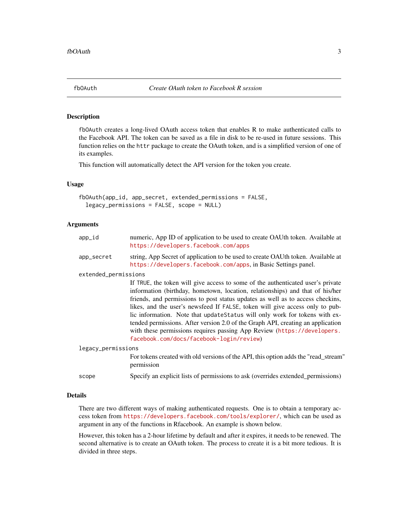<span id="page-2-1"></span><span id="page-2-0"></span>

fbOAuth creates a long-lived OAuth access token that enables R to make authenticated calls to the Facebook API. The token can be saved as a file in disk to be re-used in future sessions. This function relies on the httr package to create the OAuth token, and is a simplified version of one of its examples.

This function will automatically detect the API version for the token you create.

#### Usage

```
fbOAuth(app_id, app_secret, extended_permissions = FALSE,
  legacy_permissions = FALSE, scope = NULL)
```
# Arguments

| app_id               | numeric, App ID of application to be used to create OAUth token. Available at<br>https://developers.facebook.com/apps                                                                                                                                                                                                                                                                                                                                                                                                                                                                                                      |
|----------------------|----------------------------------------------------------------------------------------------------------------------------------------------------------------------------------------------------------------------------------------------------------------------------------------------------------------------------------------------------------------------------------------------------------------------------------------------------------------------------------------------------------------------------------------------------------------------------------------------------------------------------|
| app_secret           | string, App Secret of application to be used to create OAUth token. Available at<br>https://developers.facebook.com/apps, in Basic Settings panel.                                                                                                                                                                                                                                                                                                                                                                                                                                                                         |
| extended_permissions |                                                                                                                                                                                                                                                                                                                                                                                                                                                                                                                                                                                                                            |
|                      | If TRUE, the token will give access to some of the authenticated user's private<br>information (birthday, hometown, location, relationships) and that of his/her<br>friends, and permissions to post status updates as well as to access checkins,<br>likes, and the user's newsfeed If FALSE, token will give access only to pub-<br>lic information. Note that updateStatus will only work for tokens with ex-<br>tended permissions. After version 2.0 of the Graph API, creating an application<br>with these permissions requires passing App Review (https://developers.<br>facebook.com/docs/facebook-login/review) |
| legacy_permissions   |                                                                                                                                                                                                                                                                                                                                                                                                                                                                                                                                                                                                                            |
|                      | For tokens created with old versions of the API, this option adds the "read_stream"<br>permission                                                                                                                                                                                                                                                                                                                                                                                                                                                                                                                          |
| scope                | Specify an explicit lists of permissions to ask (overrides extended permissions)                                                                                                                                                                                                                                                                                                                                                                                                                                                                                                                                           |

# Details

There are two different ways of making authenticated requests. One is to obtain a temporary access token from <https://developers.facebook.com/tools/explorer/>, which can be used as argument in any of the functions in Rfacebook. An example is shown below.

However, this token has a 2-hour lifetime by default and after it expires, it needs to be renewed. The second alternative is to create an OAuth token. The process to create it is a bit more tedious. It is divided in three steps.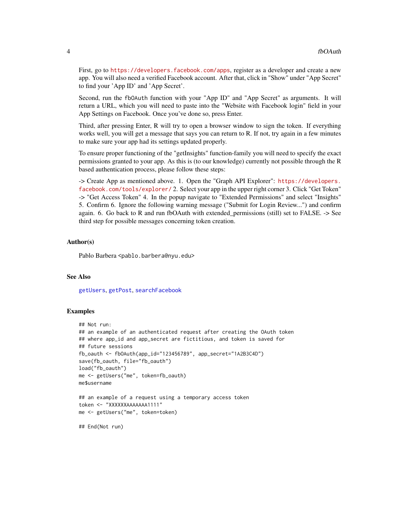<span id="page-3-0"></span>First, go to <https://developers.facebook.com/apps>, register as a developer and create a new app. You will also need a verified Facebook account. After that, click in "Show" under "App Secret" to find your 'App ID' and 'App Secret'.

Second, run the fbOAuth function with your "App ID" and "App Secret" as arguments. It will return a URL, which you will need to paste into the "Website with Facebook login" field in your App Settings on Facebook. Once you've done so, press Enter.

Third, after pressing Enter, R will try to open a browser window to sign the token. If everything works well, you will get a message that says you can return to R. If not, try again in a few minutes to make sure your app had its settings updated properly.

To ensure proper functioning of the "getInsights" function-family you will need to specify the exact permissions granted to your app. As this is (to our knowledge) currently not possible through the R based authentication process, please follow these steps:

-> Create App as mentioned above. 1. Open the "Graph API Explorer": [https://developers.](https://developers.facebook.com/tools/explorer/) [facebook.com/tools/explorer/](https://developers.facebook.com/tools/explorer/) 2. Select your app in the upper right corner 3. Click "Get Token" -> "Get Access Token" 4. In the popup navigate to "Extended Permissions" and select "Insights" 5. Confirm 6. Ignore the following warning message ("Submit for Login Review...") and confirm again. 6. Go back to R and run fbOAuth with extended\_permissions (still) set to FALSE. -> See third step for possible messages concerning token creation.

#### Author(s)

Pablo Barbera <pablo.barbera@nyu.edu>

#### See Also

[getUsers](#page-19-1), [getPost](#page-16-1), [searchFacebook](#page-20-1)

#### Examples

```
## Not run:
## an example of an authenticated request after creating the OAuth token
## where app_id and app_secret are fictitious, and token is saved for
## future sessions
fb_oauth <- fbOAuth(app_id="123456789", app_secret="1A2B3C4D")
save(fb_oauth, file="fb_oauth")
load("fb_oauth")
me <- getUsers("me", token=fb_oauth)
me$username
## an example of a request using a temporary access token
token <- "XXXXXXAAAAAAA1111"
me <- getUsers("me", token=token)
## End(Not run)
```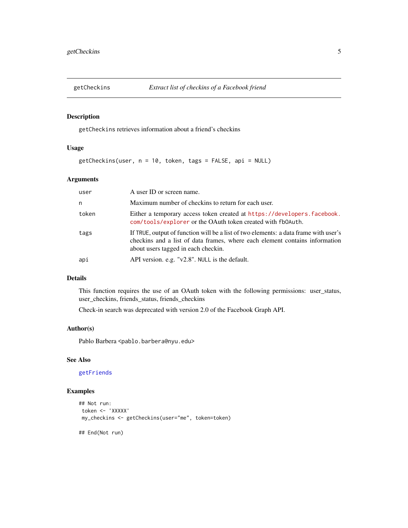<span id="page-4-0"></span>

getCheckins retrieves information about a friend's checkins

# Usage

getCheckins(user, n = 10, token, tags = FALSE, api = NULL)

# Arguments

| user  | A user ID or screen name.                                                                                                                                                                                  |
|-------|------------------------------------------------------------------------------------------------------------------------------------------------------------------------------------------------------------|
| n     | Maximum number of checkins to return for each user.                                                                                                                                                        |
| token | Either a temporary access token created at https://developers.facebook.<br>com/tools/explorer or the OAuth token created with fb0Auth.                                                                     |
| tags  | If TRUE, output of function will be a list of two elements: a data frame with user's<br>checkins and a list of data frames, where each element contains information<br>about users tagged in each checkin. |
| api   | API version. e.g. "v2.8". NULL is the default.                                                                                                                                                             |

# Details

This function requires the use of an OAuth token with the following permissions: user\_status, user\_checkins, friends\_status, friends\_checkins

Check-in search was deprecated with version 2.0 of the Facebook Graph API.

# Author(s)

Pablo Barbera <pablo.barbera@nyu.edu>

# See Also

[getFriends](#page-7-1)

# Examples

```
## Not run:
token <- 'XXXXX'
my_checkins <- getCheckins(user="me", token=token)
```
## End(Not run)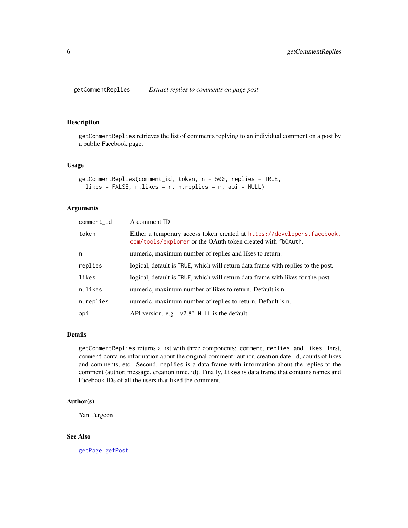<span id="page-5-1"></span><span id="page-5-0"></span>getCommentReplies retrieves the list of comments replying to an individual comment on a post by a public Facebook page.

#### Usage

```
getCommentReplies(comment_id, token, n = 500, replies = TRUE,
 likes = FALSE, n.likes = n, n.replies = n, api = NULL)
```
# Arguments

| comment_id | A comment ID                                                                                                                           |
|------------|----------------------------------------------------------------------------------------------------------------------------------------|
| token      | Either a temporary access token created at https://developers.facebook.<br>com/tools/explorer or the OAuth token created with fb0Auth. |
| n          | numeric, maximum number of replies and likes to return.                                                                                |
| replies    | logical, default is TRUE, which will return data frame with replies to the post.                                                       |
| likes      | logical, default is TRUE, which will return data frame with likes for the post.                                                        |
| n.likes    | numeric, maximum number of likes to return. Default is n.                                                                              |
| n.replies  | numeric, maximum number of replies to return. Default is n.                                                                            |
| api        | API version. e.g. " $v2.8$ ". NULL is the default.                                                                                     |

#### Details

getCommentReplies returns a list with three components: comment, replies, and likes. First, comment contains information about the original comment: author, creation date, id, counts of likes and comments, etc. Second, replies is a data frame with information about the replies to the comment (author, message, creation time, id). Finally, likes is data frame that contains names and Facebook IDs of all the users that liked the comment.

#### Author(s)

Yan Turgeon

# See Also

[getPage](#page-14-1), [getPost](#page-16-1)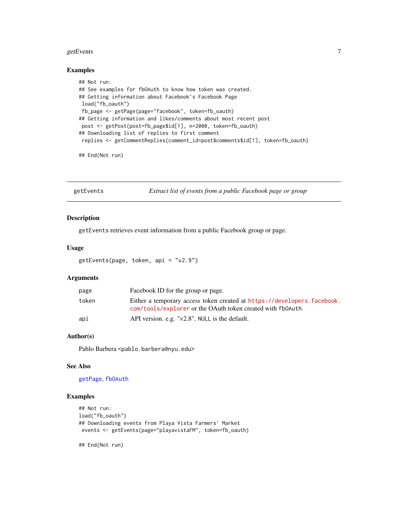#### <span id="page-6-0"></span>getEvents  $\overline{7}$

#### Examples

```
## Not run:
## See examples for fbOAuth to know how token was created.
## Getting information about Facebook's Facebook Page
load("fb_oauth")
fb_page <- getPage(page="facebook", token=fb_oauth)
## Getting information and likes/comments about most recent post
post <- getPost(post=fb_page$id[1], n=2000, token=fb_oauth)
## Downloading list of replies to first comment
 replies <- getCommentReplies(comment_id=post$comments$id[1], token=fb_oauth)
```
## End(Not run)

getEvents *Extract list of events from a public Facebook page or group*

#### Description

getEvents retrieves event information from a public Facebook group or page.

#### Usage

getEvents(page, token, api = "v2.9")

### Arguments

| page  | Facebook ID for the group or page.                                                                                                     |
|-------|----------------------------------------------------------------------------------------------------------------------------------------|
| token | Either a temporary access token created at https://developers.facebook.<br>com/tools/explorer or the OAuth token created with fb0Auth. |
| api   | API version. e.g. "v2.8". NULL is the default.                                                                                         |

# Author(s)

Pablo Barbera <pablo.barbera@nyu.edu>

# See Also

[getPage](#page-14-1), [fbOAuth](#page-2-1)

# Examples

```
## Not run:
load("fb_oauth")
## Downloading events from Playa Vista Farmers' Market
events <- getEvents(page="playavistaFM", token=fb_oauth)
```
## End(Not run)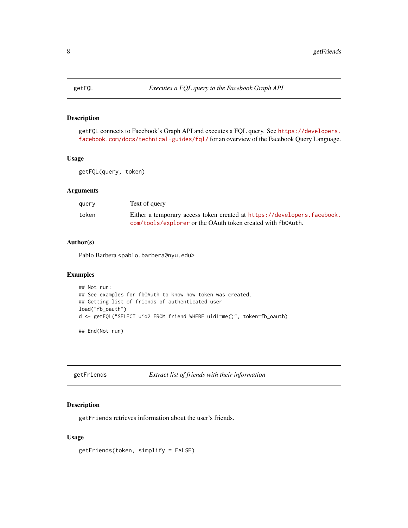<span id="page-7-0"></span>

getFQL connects to Facebook's Graph API and executes a FQL query. See [https://developers.](https://developers.facebook.com/docs/technical-guides/fql/) [facebook.com/docs/technical-guides/fql/](https://developers.facebook.com/docs/technical-guides/fql/) for an overview of the Facebook Query Language.

#### Usage

getFQL(query, token)

# Arguments

| querv | Text of query                                                           |
|-------|-------------------------------------------------------------------------|
| token | Either a temporary access token created at https://developers.facebook. |
|       | com/tools/explorer or the OAuth token created with fb0Auth.             |

# Author(s)

Pablo Barbera <pablo.barbera@nyu.edu>

# Examples

```
## Not run:
## See examples for fbOAuth to know how token was created.
## Getting list of friends of authenticated user
load("fb_oauth")
d <- getFQL("SELECT uid2 FROM friend WHERE uid1=me()", token=fb_oauth)
```
## End(Not run)

<span id="page-7-1"></span>getFriends *Extract list of friends with their information*

#### Description

getFriends retrieves information about the user's friends.

# Usage

```
getFriends(token, simplify = FALSE)
```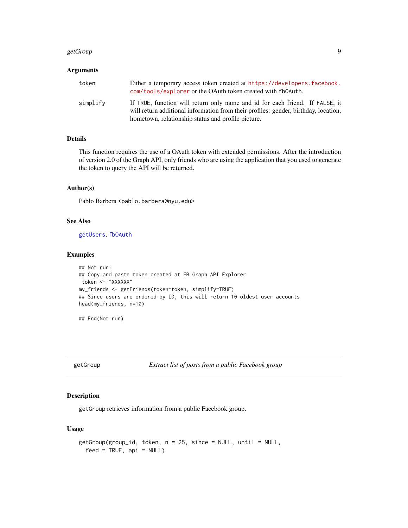#### <span id="page-8-0"></span>getGroup 30 and 200 and 200 and 200 and 200 and 200 and 200 and 200 and 200 and 200 and 200 and 200 and 200 and

# Arguments

| token    | Either a temporary access token created at https://developers.facebook.<br>com/tools/explorer or the OAuth token created with fb0Auth.                                                                                    |
|----------|---------------------------------------------------------------------------------------------------------------------------------------------------------------------------------------------------------------------------|
| simplify | If TRUE, function will return only name and id for each friend. If FALSE, it<br>will return additional information from their profiles: gender, birthday, location,<br>hometown, relationship status and profile picture. |

# Details

This function requires the use of a OAuth token with extended permissions. After the introduction of version 2.0 of the Graph API, only friends who are using the application that you used to generate the token to query the API will be returned.

#### Author(s)

Pablo Barbera <pablo.barbera@nyu.edu>

#### See Also

[getUsers](#page-19-1), [fbOAuth](#page-2-1)

#### Examples

```
## Not run:
## Copy and paste token created at FB Graph API Explorer
token <- "XXXXXX"
my_friends <- getFriends(token=token, simplify=TRUE)
## Since users are ordered by ID, this will return 10 oldest user accounts
head(my_friends, n=10)
```
## End(Not run)

getGroup *Extract list of posts from a public Facebook group*

# Description

getGroup retrieves information from a public Facebook group.

# Usage

```
getGroup(group_id, token, n = 25, since = NULL, until = NULL,
  feed = TRUE, api = NULL)
```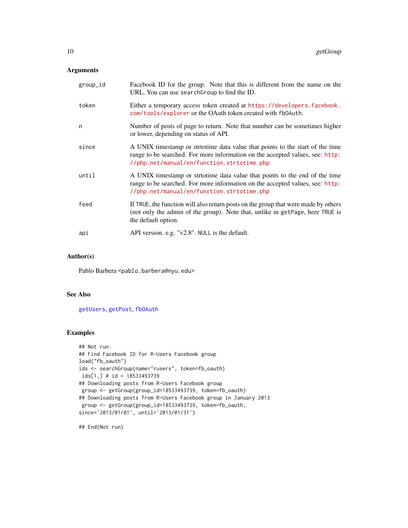# <span id="page-9-0"></span>Arguments

| group_id | Facebook ID for the group. Note that this is different from the name on the<br>URL. You can use search Group to find the ID.                                                                                 |
|----------|--------------------------------------------------------------------------------------------------------------------------------------------------------------------------------------------------------------|
| token    | Either a temporary access token created at https://developers.facebook.<br>com/tools/explorer or the OAuth token created with fb0Auth.                                                                       |
| n        | Number of posts of page to return. Note that number can be sometimes higher<br>or lower, depending on status of API.                                                                                         |
| since    | A UNIX timestamp or strtotime data value that points to the start of the time<br>range to be searched. For more information on the accepted values, see: http:<br>//php.net/manual/en/function.strtotime.php |
| until    | A UNIX timestamp or stritotime data value that points to the end of the time<br>range to be searched. For more information on the accepted values, see: http:<br>//php.net/manual/en/function.strtotime.php  |
| feed     | If TRUE, the function will also return posts on the group that were made by others<br>(not only the admin of the group). Note that, unlike in getPage, here TRUE is<br>the default option.                   |
| api      | API version. e.g. "v2.8". NULL is the default.                                                                                                                                                               |

#### Author(s)

Pablo Barbera <pablo.barbera@nyu.edu>

### See Also

[getUsers](#page-19-1), [getPost](#page-16-1), [fbOAuth](#page-2-1)

# Examples

```
## Not run:
## Find Facebook ID for R-Users Facebook group
load("fb_oauth")
ids <- searchGroup(name="rusers", token=fb_oauth)
ids[1,] # id = 18533493739
## Downloading posts from R-Users Facebook group
group <- getGroup(group_id=18533493739, token=fb_oauth)
## Downloading posts from R-Users Facebook group in January 2013
group <- getGroup(group_id=18533493739, token=fb_oauth,
since='2013/01/01', until='2013/01/31')
```
## End(Not run)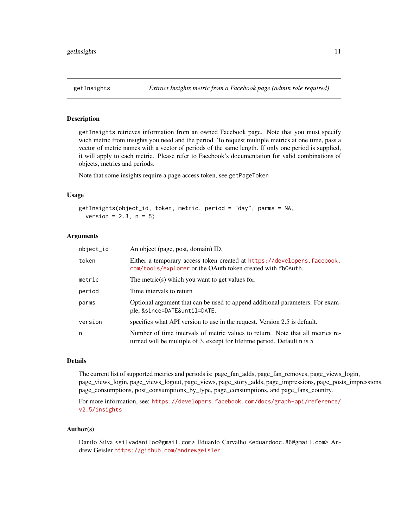<span id="page-10-0"></span>

getInsights retrieves information from an owned Facebook page. Note that you must specify wich metric from insights you need and the period. To request multiple metrics at one time, pass a vector of metric names with a vector of periods of the same length. If only one period is supplied, it will apply to each metric. Please refer to Facebook's documentation for valid combinations of objects, metrics and periods.

Note that some insights require a page access token, see getPageToken

### Usage

```
getInsights(object_id, token, metric, period = "day", parms = NA,
  version = 2.3, n = 5)
```
#### Arguments

| object_id | An object (page, post, domain) ID.                                                                                                                         |
|-----------|------------------------------------------------------------------------------------------------------------------------------------------------------------|
| token     | Either a temporary access token created at https://developers.facebook.<br>com/tools/explorer or the OAuth token created with fb0Auth.                     |
| metric    | The metric(s) which you want to get values for.                                                                                                            |
| period    | Time intervals to return                                                                                                                                   |
| parms     | Optional argument that can be used to append additional parameters. For exam-<br>ple, &since=DATE&until=DATE.                                              |
| version   | specifies what API version to use in the request. Version 2.5 is default.                                                                                  |
| n         | Number of time intervals of metric values to return. Note that all metrics re-<br>turned will be multiple of 3, except for lifetime period. Default n is 5 |

#### Details

The current list of supported metrics and periods is: page\_fan\_adds, page\_fan\_removes, page\_views\_login, page\_views\_login, page\_views\_logout, page\_views, page\_story\_adds, page\_impressions, page\_posts\_impressions, page\_consumptions, post\_consumptions\_by\_type, page\_consumptions, and page\_fans\_country.

For more information, see: [https://developers.facebook.com/docs/graph-api/reference/](https://developers.facebook.com/docs/graph-api/reference/v2.5/insights) [v2.5/insights](https://developers.facebook.com/docs/graph-api/reference/v2.5/insights)

#### Author(s)

Danilo Silva <silvadaniloc@gmail.com> Eduardo Carvalho <eduardooc.86@gmail.com> Andrew Geisler <https://github.com/andrewgeisler>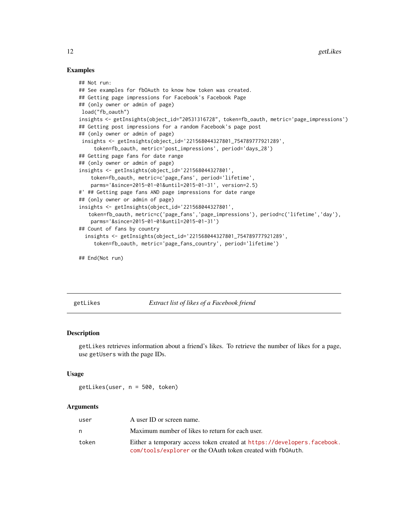## Examples

```
## Not run:
## See examples for fbOAuth to know how token was created.
## Getting page impressions for Facebook's Facebook Page
## (only owner or admin of page)
load("fb_oauth")
insights <- getInsights(object_id="20531316728", token=fb_oauth, metric='page_impressions')
## Getting post impressions for a random Facebook's page post
## (only owner or admin of page)
insights <- getInsights(object_id='221568044327801_754789777921289',
     token=fb_oauth, metric='post_impressions', period='days_28')
## Getting page fans for date range
## (only owner or admin of page)
insights <- getInsights(object_id='221568044327801',
    token=fb_oauth, metric=c'page_fans', period='lifetime',
   parms='&since=2015-01-01&until=2015-01-31', version=2.5)
#' ## Getting page fans AND page impressions for date range
## (only owner or admin of page)
insights <- getInsights(object_id='221568044327801',
   token=fb_oauth, metric=c('page_fans','page_impressions'), period=c('lifetime','day'),
    parms='&since=2015-01-01&until=2015-01-31')
## Count of fans by country
  insights <- getInsights(object_id='221568044327801_754789777921289',
     token=fb_oauth, metric='page_fans_country', period='lifetime')
```
## End(Not run)

getLikes *Extract list of likes of a Facebook friend*

# Description

getLikes retrieves information about a friend's likes. To retrieve the number of likes for a page, use getUsers with the page IDs.

#### Usage

getLikes(user, n = 500, token)

| user  | A user ID or screen name.                                               |
|-------|-------------------------------------------------------------------------|
| n     | Maximum number of likes to return for each user.                        |
| token | Either a temporary access token created at https://developers.facebook. |
|       | com/tools/explorer or the OAuth token created with fb0Auth.             |

<span id="page-11-0"></span>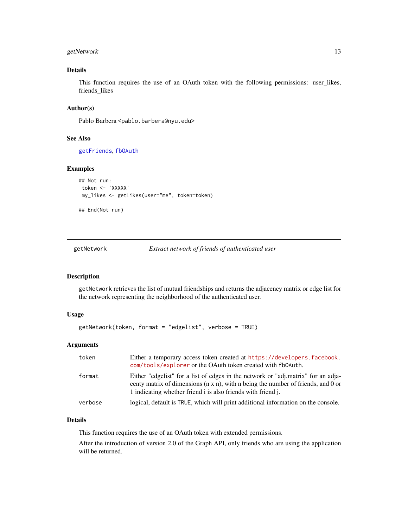# <span id="page-12-0"></span>getNetwork 13

# Details

This function requires the use of an OAuth token with the following permissions: user\_likes, friends\_likes

### Author(s)

Pablo Barbera <pablo.barbera@nyu.edu>

#### See Also

[getFriends](#page-7-1), [fbOAuth](#page-2-1)

# Examples

```
## Not run:
token <- 'XXXXX'
my_likes <- getLikes(user="me", token=token)
```
## End(Not run)

<span id="page-12-1"></span>getNetwork *Extract network of friends of authenticated user*

#### Description

getNetwork retrieves the list of mutual friendships and returns the adjacency matrix or edge list for the network representing the neighborhood of the authenticated user.

# Usage

```
getNetwork(token, format = "edgelist", verbose = TRUE)
```
# Arguments

| token   | Either a temporary access token created at https://developers.facebook.<br>com/tools/explorer or the OAuth token created with fb0Auth.                                                                                                        |
|---------|-----------------------------------------------------------------------------------------------------------------------------------------------------------------------------------------------------------------------------------------------|
| format  | Either "edgelist" for a list of edges in the network or "adj.matrix" for an adja-<br>centy matrix of dimensions $(n \times n)$ , with n being the number of friends, and 0 or<br>1 indicating whether friend i is also friends with friend j. |
| verbose | logical, default is TRUE, which will print additional information on the console.                                                                                                                                                             |

#### Details

This function requires the use of an OAuth token with extended permissions.

After the introduction of version 2.0 of the Graph API, only friends who are using the application will be returned.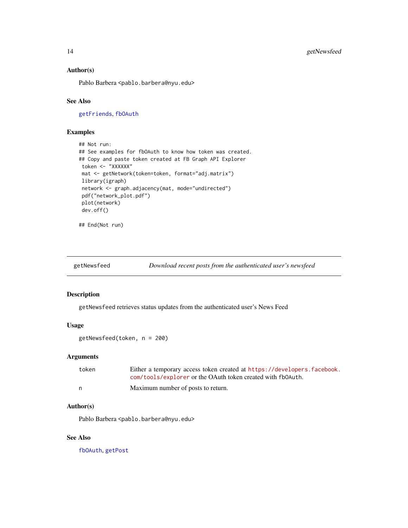## <span id="page-13-0"></span>Author(s)

Pablo Barbera <pablo.barbera@nyu.edu>

# See Also

[getFriends](#page-7-1), [fbOAuth](#page-2-1)

# Examples

```
## Not run:
## See examples for fbOAuth to know how token was created.
## Copy and paste token created at FB Graph API Explorer
token <- "XXXXXX"
mat <- getNetwork(token=token, format="adj.matrix")
library(igraph)
network <- graph.adjacency(mat, mode="undirected")
pdf("network_plot.pdf")
plot(network)
dev.off()
```

```
## End(Not run)
```
getNewsfeed *Download recent posts from the authenticated user's newsfeed*

### Description

getNewsfeed retrieves status updates from the authenticated user's News Feed

#### Usage

getNewsfeed(token, n = 200)

# Arguments

| token | Either a temporary access token created at https://developers.facebook. |
|-------|-------------------------------------------------------------------------|
|       | com/tools/explorer or the OAuth token created with fb0Auth.             |
| n     | Maximum number of posts to return.                                      |

# Author(s)

Pablo Barbera <pablo.barbera@nyu.edu>

# See Also

[fbOAuth](#page-2-1), [getPost](#page-16-1)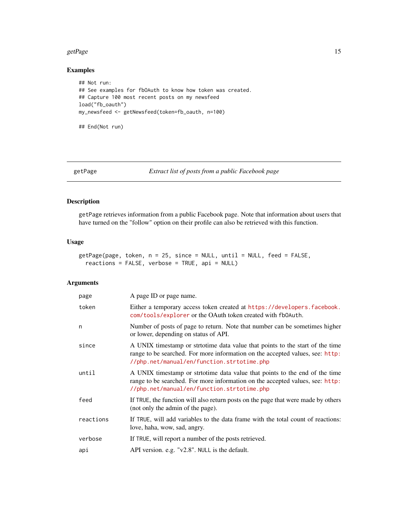#### <span id="page-14-0"></span>getPage 15

# Examples

```
## Not run:
## See examples for fbOAuth to know how token was created.
## Capture 100 most recent posts on my newsfeed
load("fb_oauth")
my_newsfeed <- getNewsfeed(token=fb_oauth, n=100)
```
## End(Not run)

<span id="page-14-1"></span>

getPage *Extract list of posts from a public Facebook page*

# Description

getPage retrieves information from a public Facebook page. Note that information about users that have turned on the "follow" option on their profile can also be retrieved with this function.

# Usage

```
getPage(page, token, n = 25, since = NULL, until = NULL, feed = FALSE,
  reactions = FALSE, verbose = TRUE, api = NULL)
```

| page      | A page ID or page name.                                                                                                                                                                                      |
|-----------|--------------------------------------------------------------------------------------------------------------------------------------------------------------------------------------------------------------|
| token     | Either a temporary access token created at https://developers.facebook.<br>com/tools/explorer or the OAuth token created with fb0Auth.                                                                       |
| n         | Number of posts of page to return. Note that number can be sometimes higher<br>or lower, depending on status of API.                                                                                         |
| since     | A UNIX timestamp or strtotime data value that points to the start of the time<br>range to be searched. For more information on the accepted values, see: http:<br>//php.net/manual/en/function.strtotime.php |
| until     | A UNIX timestamp or strtotime data value that points to the end of the time<br>range to be searched. For more information on the accepted values, see: http:<br>//php.net/manual/en/function.strtotime.php   |
| feed      | If TRUE, the function will also return posts on the page that were made by others<br>(not only the admin of the page).                                                                                       |
| reactions | If TRUE, will add variables to the data frame with the total count of reactions:<br>love, haha, wow, sad, angry.                                                                                             |
| verbose   | If TRUE, will report a number of the posts retrieved.                                                                                                                                                        |
| api       | API version. e.g. "v2.8". NULL is the default.                                                                                                                                                               |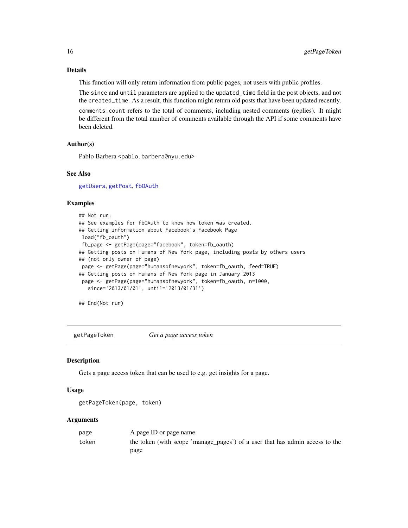# Details

This function will only return information from public pages, not users with public profiles.

The since and until parameters are applied to the updated\_time field in the post objects, and not the created\_time. As a result, this function might return old posts that have been updated recently. comments\_count refers to the total of comments, including nested comments (replies). It might be different from the total number of comments available through the API if some comments have been deleted.

#### Author(s)

Pablo Barbera <pablo.barbera@nyu.edu>

# See Also

[getUsers](#page-19-1), [getPost](#page-16-1), [fbOAuth](#page-2-1)

### Examples

```
## Not run:
## See examples for fbOAuth to know how token was created.
## Getting information about Facebook's Facebook Page
load("fb_oauth")
fb_page <- getPage(page="facebook", token=fb_oauth)
## Getting posts on Humans of New York page, including posts by others users
## (not only owner of page)
page <- getPage(page="humansofnewyork", token=fb_oauth, feed=TRUE)
## Getting posts on Humans of New York page in January 2013
page <- getPage(page="humansofnewyork", token=fb_oauth, n=1000,
   since='2013/01/01', until='2013/01/31')
```
## End(Not run)

getPageToken *Get a page access token*

#### **Description**

Gets a page access token that can be used to e.g. get insights for a page.

#### Usage

```
getPageToken(page, token)
```

| page  | A page ID or page name.                                                      |
|-------|------------------------------------------------------------------------------|
| token | the token (with scope 'manage_pages') of a user that has admin access to the |
|       | page                                                                         |

<span id="page-15-0"></span>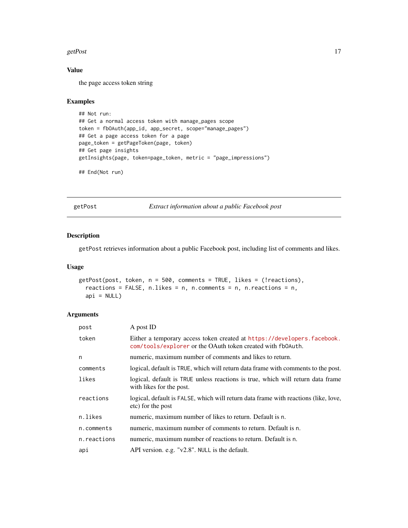#### <span id="page-16-0"></span>getPost 17

# Value

the page access token string

#### Examples

```
## Not run:
## Get a normal access token with manage_pages scope
token = fbOAuth(app_id, app_secret, scope="manage_pages")
## Get a page access token for a page
page_token = getPageToken(page, token)
## Get page insights
getInsights(page, token=page_token, metric = "page_impressions")
## End(Not run)
```
<span id="page-16-1"></span>getPost *Extract information about a public Facebook post*

# Description

getPost retrieves information about a public Facebook post, including list of comments and likes.

# Usage

```
getPost(post, token, n = 500, comments = TRUE, likes = (!reactions),
  reactions = FALSE, n.likes = n, n.comments = n, n.reactions = n,
  api = NULL)
```

| post        | A post ID                                                                                                                              |
|-------------|----------------------------------------------------------------------------------------------------------------------------------------|
| token       | Either a temporary access token created at https://developers.facebook.<br>com/tools/explorer or the OAuth token created with fb0Auth. |
| n           | numeric, maximum number of comments and likes to return.                                                                               |
| comments    | logical, default is TRUE, which will return data frame with comments to the post.                                                      |
| likes       | logical, default is TRUE unless reactions is true, which will return data frame<br>with likes for the post.                            |
| reactions   | logical, default is FALSE, which will return data frame with reactions (like, love,<br>etc) for the post                               |
| n.likes     | numeric, maximum number of likes to return. Default is n.                                                                              |
| n.comments  | numeric, maximum number of comments to return. Default is n.                                                                           |
| n.reactions | numeric, maximum number of reactions to return. Default is n.                                                                          |
| api         | API version. e.g. "v2.8". NULL is the default.                                                                                         |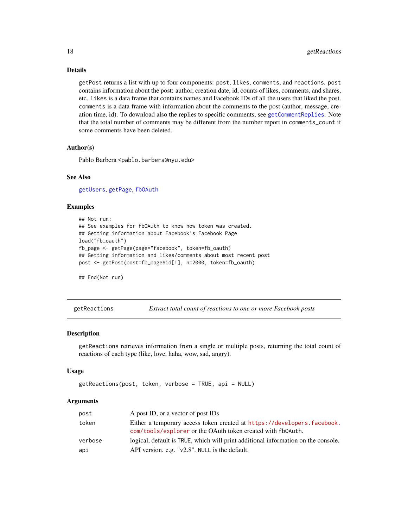# Details

getPost returns a list with up to four components: post, likes, comments, and reactions. post contains information about the post: author, creation date, id, counts of likes, comments, and shares, etc. likes is a data frame that contains names and Facebook IDs of all the users that liked the post. comments is a data frame with information about the comments to the post (author, message, creation time, id). To download also the replies to specific comments, see [getCommentReplies](#page-5-1). Note that the total number of comments may be different from the number report in comments\_count if some comments have been deleted.

#### Author(s)

Pablo Barbera <pablo.barbera@nyu.edu>

#### See Also

[getUsers](#page-19-1), [getPage](#page-14-1), [fbOAuth](#page-2-1)

#### Examples

```
## Not run:
## See examples for fbOAuth to know how token was created.
## Getting information about Facebook's Facebook Page
load("fb_oauth")
fb_page <- getPage(page="facebook", token=fb_oauth)
## Getting information and likes/comments about most recent post
post <- getPost(post=fb_page$id[1], n=2000, token=fb_oauth)
```
## End(Not run)

getReactions *Extract total count of reactions to one or more Facebook posts*

#### Description

getReactions retrieves information from a single or multiple posts, returning the total count of reactions of each type (like, love, haha, wow, sad, angry).

#### Usage

```
getReactions(post, token, verbose = TRUE, api = NULL)
```

| post    | A post ID, or a vector of post IDs                                                                                                     |
|---------|----------------------------------------------------------------------------------------------------------------------------------------|
| token   | Either a temporary access token created at https://developers.facebook.<br>com/tools/explorer or the OAuth token created with fb0Auth. |
| verbose | logical, default is TRUE, which will print additional information on the console.                                                      |
| api     | API version. e.g. " $v2.8$ ". NULL is the default.                                                                                     |

<span id="page-17-0"></span>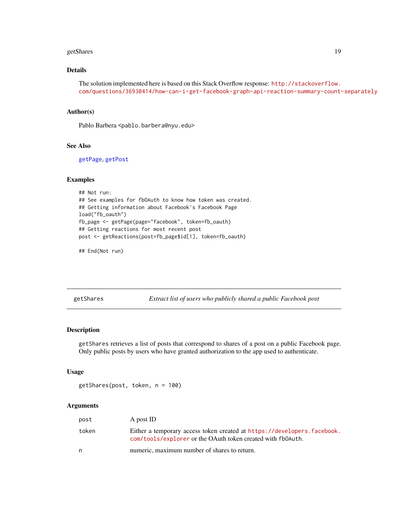#### <span id="page-18-0"></span>getShares 19

# Details

```
The solution implemented here is based on this Stack Overflow response: http://stackoverflow.
com/questions/36930414/how-can-i-get-facebook-graph-api-reaction-summary-count-separately
```
#### Author(s)

Pablo Barbera <pablo.barbera@nyu.edu>

#### See Also

[getPage](#page-14-1), [getPost](#page-16-1)

# Examples

```
## Not run:
## See examples for fbOAuth to know how token was created.
## Getting information about Facebook's Facebook Page
load("fb_oauth")
fb_page <- getPage(page="facebook", token=fb_oauth)
## Getting reactions for most recent post
post <- getReactions(post=fb_page$id[1], token=fb_oauth)
```
## End(Not run)

getShares *Extract list of users who publicly shared a public Facebook post*

# Description

getShares retrieves a list of posts that correspond to shares of a post on a public Facebook page. Only public posts by users who have granted authorization to the app used to authenticate.

#### Usage

```
getShares(post, token, n = 100)
```

| post  | A post ID                                                                                                                              |
|-------|----------------------------------------------------------------------------------------------------------------------------------------|
| token | Either a temporary access token created at https://developers.facebook.<br>com/tools/explorer or the OAuth token created with fb0Auth. |
|       | numeric, maximum number of shares to return.                                                                                           |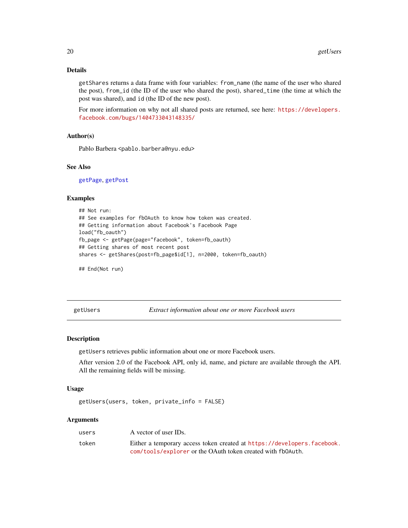# <span id="page-19-0"></span>Details

getShares returns a data frame with four variables: from\_name (the name of the user who shared the post), from\_id (the ID of the user who shared the post), shared\_time (the time at which the post was shared), and id (the ID of the new post).

For more information on why not all shared posts are returned, see here: [https://developers.](https://developers.facebook.com/bugs/1404733043148335/) [facebook.com/bugs/1404733043148335/](https://developers.facebook.com/bugs/1404733043148335/)

# Author(s)

Pablo Barbera <pablo.barbera@nyu.edu>

#### See Also

[getPage](#page-14-1), [getPost](#page-16-1)

#### Examples

```
## Not run:
## See examples for fbOAuth to know how token was created.
## Getting information about Facebook's Facebook Page
load("fb_oauth")
fb_page <- getPage(page="facebook", token=fb_oauth)
## Getting shares of most recent post
shares <- getShares(post=fb_page$id[1], n=2000, token=fb_oauth)
```

```
## End(Not run)
```
<span id="page-19-1"></span>getUsers *Extract information about one or more Facebook users*

#### Description

getUsers retrieves public information about one or more Facebook users.

After version 2.0 of the Facebook API, only id, name, and picture are available through the API. All the remaining fields will be missing.

#### Usage

```
getUsers(users, token, private_info = FALSE)
```

| users | A vector of user IDs.                                                   |
|-------|-------------------------------------------------------------------------|
| token | Either a temporary access token created at https://developers.facebook. |
|       | com/tools/explorer or the OAuth token created with fb0Auth.             |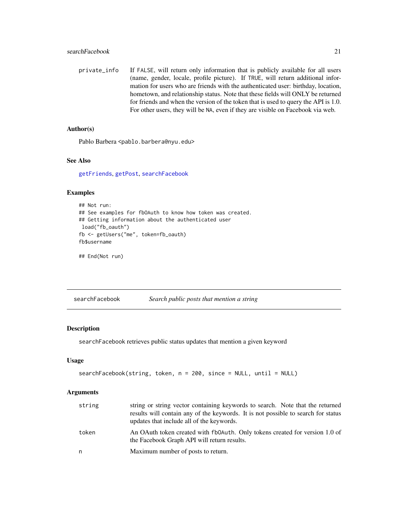<span id="page-20-0"></span>private\_info If FALSE, will return only information that is publicly available for all users (name, gender, locale, profile picture). If TRUE, will return additional information for users who are friends with the authenticated user: birthday, location, hometown, and relationship status. Note that these fields will ONLY be returned for friends and when the version of the token that is used to query the API is 1.0. For other users, they will be NA, even if they are visible on Facebook via web.

# Author(s)

Pablo Barbera <pablo.barbera@nyu.edu>

# See Also

[getFriends](#page-7-1), [getPost](#page-16-1), [searchFacebook](#page-20-1)

# Examples

```
## Not run:
## See examples for fbOAuth to know how token was created.
## Getting information about the authenticated user
load("fb_oauth")
fb <- getUsers("me", token=fb_oauth)
fb$username
```
## End(Not run)

<span id="page-20-1"></span>searchFacebook *Search public posts that mention a string*

# Description

searchFacebook retrieves public status updates that mention a given keyword

#### Usage

```
searchFacebook(string, token, n = 200, since = NULL, until = NULL)
```

| string | string or string vector containing keywords to search. Note that the returned<br>results will contain any of the keywords. It is not possible to search for status<br>updates that include all of the keywords. |
|--------|-----------------------------------------------------------------------------------------------------------------------------------------------------------------------------------------------------------------|
| token  | An OAuth token created with fb0Auth. Only tokens created for version 1.0 of<br>the Facebook Graph API will return results.                                                                                      |
| n      | Maximum number of posts to return.                                                                                                                                                                              |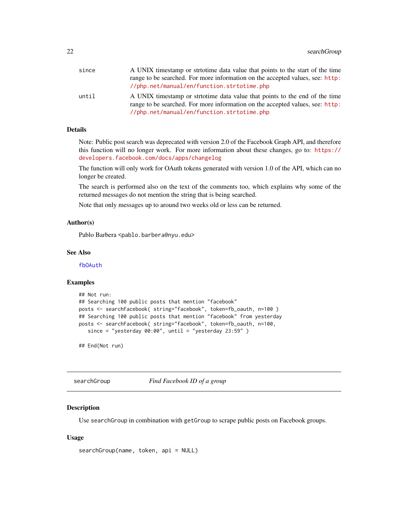<span id="page-21-0"></span>

| since | A UNIX timestamp or strtotime data value that points to the start of the time                                                                                                                             |
|-------|-----------------------------------------------------------------------------------------------------------------------------------------------------------------------------------------------------------|
|       | range to be searched. For more information on the accepted values, see: http:                                                                                                                             |
|       | //php.net/manual/en/function.strtotime.php                                                                                                                                                                |
| until | A UNIX timestamp or strition data value that points to the end of the time<br>range to be searched. For more information on the accepted values, see: http:<br>//php.net/manual/en/function.strtotime.php |

# Details

Note: Public post search was deprecated with version 2.0 of the Facebook Graph API, and therefore this function will no longer work. For more information about these changes, go to: [https://](https://developers.facebook.com/docs/apps/changelog) [developers.facebook.com/docs/apps/changelog](https://developers.facebook.com/docs/apps/changelog)

The function will only work for OAuth tokens generated with version 1.0 of the API, which can no longer be created.

The search is performed also on the text of the comments too, which explains why some of the returned messages do not mention the string that is being searched.

Note that only messages up to around two weeks old or less can be returned.

# Author(s)

Pablo Barbera <pablo.barbera@nyu.edu>

# See Also

[fbOAuth](#page-2-1)

# Examples

```
## Not run:
## Searching 100 public posts that mention "facebook"
posts <- searchFacebook( string="facebook", token=fb_oauth, n=100 )
## Searching 100 public posts that mention "facebook" from yesterday
posts <- searchFacebook( string="facebook", token=fb_oauth, n=100,
   since = "yesterday 00:00", until = "yesterday 23:59" )
```
## End(Not run)

searchGroup *Find Facebook ID of a group*

#### Description

Use searchGroup in combination with getGroup to scrape public posts on Facebook groups.

#### Usage

searchGroup(name, token, api = NULL)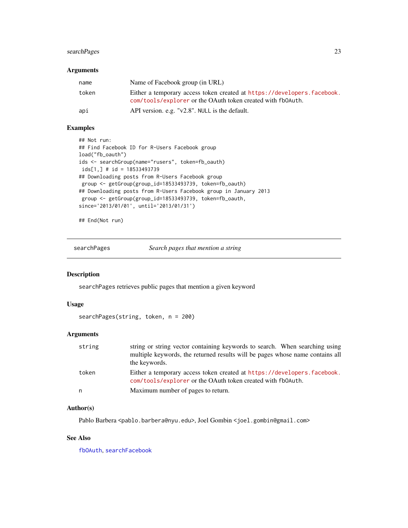# <span id="page-22-0"></span>searchPages 23

# Arguments

| name  | Name of Facebook group (in URL)                                                                                                        |
|-------|----------------------------------------------------------------------------------------------------------------------------------------|
| token | Either a temporary access token created at https://developers.facebook.<br>com/tools/explorer or the OAuth token created with fb0Auth. |
| api   | API version. e.g. "v2.8". NULL is the default.                                                                                         |

# Examples

```
## Not run:
## Find Facebook ID for R-Users Facebook group
load("fb_oauth")
ids <- searchGroup(name="rusers", token=fb_oauth)
ids[1,] # id = 18533493739
## Downloading posts from R-Users Facebook group
group <- getGroup(group_id=18533493739, token=fb_oauth)
## Downloading posts from R-Users Facebook group in January 2013
group <- getGroup(group_id=18533493739, token=fb_oauth,
since='2013/01/01', until='2013/01/31')
```
## End(Not run)

searchPages *Search pages that mention a string*

#### Description

searchPages retrieves public pages that mention a given keyword

#### Usage

```
searchPages(string, token, n = 200)
```
# Arguments

| string | string or string vector containing keywords to search. When searching using<br>multiple keywords, the returned results will be pages whose name contains all<br>the keywords. |
|--------|-------------------------------------------------------------------------------------------------------------------------------------------------------------------------------|
| token  | Either a temporary access token created at https://developers.facebook.<br>com/tools/explorer or the OAuth token created with fb0Auth.                                        |
| n      | Maximum number of pages to return.                                                                                                                                            |

#### Author(s)

Pablo Barbera <pablo.barbera@nyu.edu>, Joel Gombin <joel.gombin@gmail.com>

#### See Also

[fbOAuth](#page-2-1), [searchFacebook](#page-20-1)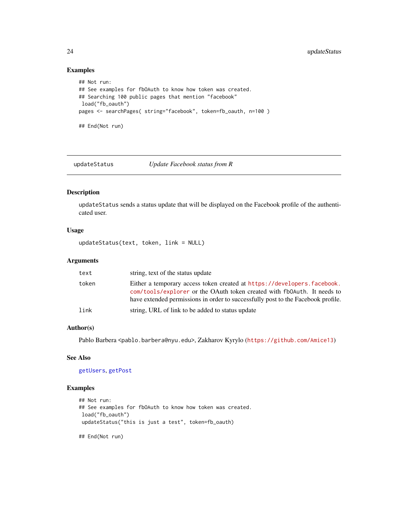# Examples

```
## Not run:
## See examples for fbOAuth to know how token was created.
## Searching 100 public pages that mention "facebook"
load("fb_oauth")
pages <- searchPages( string="facebook", token=fb_oauth, n=100 )
## End(Not run)
```
<span id="page-23-1"></span>updateStatus *Update Facebook status from R*

# Description

updateStatus sends a status update that will be displayed on the Facebook profile of the authenticated user.

# Usage

updateStatus(text, token, link = NULL)

# Arguments

| text  | string, text of the status update                                                                                                                                                                                                      |
|-------|----------------------------------------------------------------------------------------------------------------------------------------------------------------------------------------------------------------------------------------|
| token | Either a temporary access token created at https://developers.facebook.<br>com/tools/explorer or the OAuth token created with fb0Auth. It needs to<br>have extended permissions in order to successfully post to the Facebook profile. |
| link  | string, URL of link to be added to status update                                                                                                                                                                                       |

# Author(s)

Pablo Barbera <pablo.barbera@nyu.edu>, Zakharov Kyrylo (<https://github.com/Amice13>)

# See Also

[getUsers](#page-19-1), [getPost](#page-16-1)

#### Examples

```
## Not run:
## See examples for fbOAuth to know how token was created.
load("fb_oauth")
updateStatus("this is just a test", token=fb_oauth)
```
## End(Not run)

<span id="page-23-0"></span>